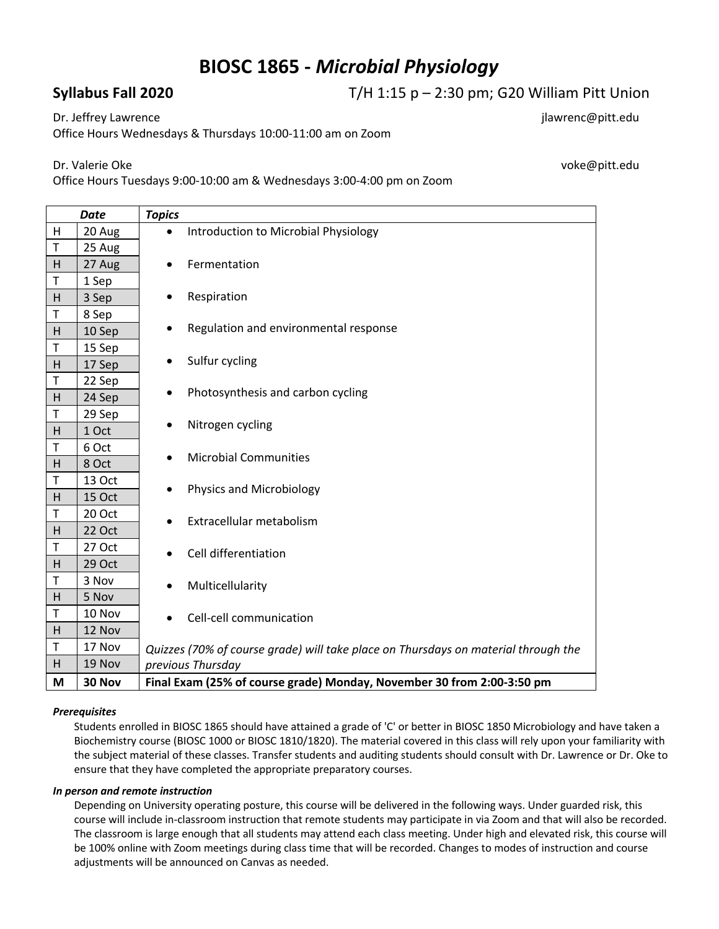# **BIOSC 1865 -** *Microbial Physiology*

## **Syllabus Fall 2020** T/H 1:15 p – 2:30 pm; G20 William Pitt Union

Dr. Jeffrey Lawrence in the state of the state of the state of the state of the state of the state of the state of the state of the state of the state of the state of the state of the state of the state of the state of the

Office Hours Wednesdays & Thursdays 10:00-11:00 am on Zoom

Dr. Valerie Oke voke@pitt.edu

Office Hours Tuesdays 9:00-10:00 am & Wednesdays 3:00-4:00 pm on Zoom

| <b>Date</b> |               | <b>Topics</b>                                                                      |
|-------------|---------------|------------------------------------------------------------------------------------|
| H           | 20 Aug        | Introduction to Microbial Physiology<br>$\bullet$                                  |
| T           | 25 Aug        |                                                                                    |
| H           | 27 Aug        | Fermentation<br>$\bullet$                                                          |
| T           | 1 Sep         |                                                                                    |
| H           | 3 Sep         | Respiration<br>$\bullet$                                                           |
| T           | 8 Sep         |                                                                                    |
| H           | 10 Sep        | Regulation and environmental response<br>٠                                         |
| T           | 15 Sep        |                                                                                    |
| H           | 17 Sep        | Sulfur cycling                                                                     |
| T           | 22 Sep        |                                                                                    |
| H           | 24 Sep        | Photosynthesis and carbon cycling                                                  |
| $\sf T$     | 29 Sep        |                                                                                    |
| H           | 1 Oct         | Nitrogen cycling<br>$\bullet$                                                      |
| Τ           | 6 Oct         | <b>Microbial Communities</b>                                                       |
| H           | 8 Oct         | $\bullet$                                                                          |
| T           | 13 Oct        | Physics and Microbiology<br>$\bullet$                                              |
| H           | 15 Oct        |                                                                                    |
| T           | 20 Oct        | Extracellular metabolism<br>$\bullet$                                              |
| H           | <b>22 Oct</b> |                                                                                    |
| T           | 27 Oct        | Cell differentiation                                                               |
| H           | 29 Oct        |                                                                                    |
| T           | 3 Nov         | Multicellularity<br>٠                                                              |
| H           | 5 Nov         |                                                                                    |
| T           | 10 Nov        | Cell-cell communication                                                            |
| H           | 12 Nov        |                                                                                    |
| T           | 17 Nov        | Quizzes (70% of course grade) will take place on Thursdays on material through the |
| H           | 19 Nov        | previous Thursday                                                                  |
| M           | 30 Nov        | Final Exam (25% of course grade) Monday, November 30 from 2:00-3:50 pm             |

### *Prerequisites*

Students enrolled in BIOSC 1865 should have attained a grade of 'C' or better in BIOSC 1850 Microbiology and have taken a Biochemistry course (BIOSC 1000 or BIOSC 1810/1820). The material covered in this class will rely upon your familiarity with the subject material of these classes. Transfer students and auditing students should consult with Dr. Lawrence or Dr. Oke to ensure that they have completed the appropriate preparatory courses.

### *In person and remote instruction*

Depending on University operating posture, this course will be delivered in the following ways. Under guarded risk, this course will include in-classroom instruction that remote students may participate in via Zoom and that will also be recorded. The classroom is large enough that all students may attend each class meeting. Under high and elevated risk, this course will be 100% online with Zoom meetings during class time that will be recorded. Changes to modes of instruction and course adjustments will be announced on Canvas as needed.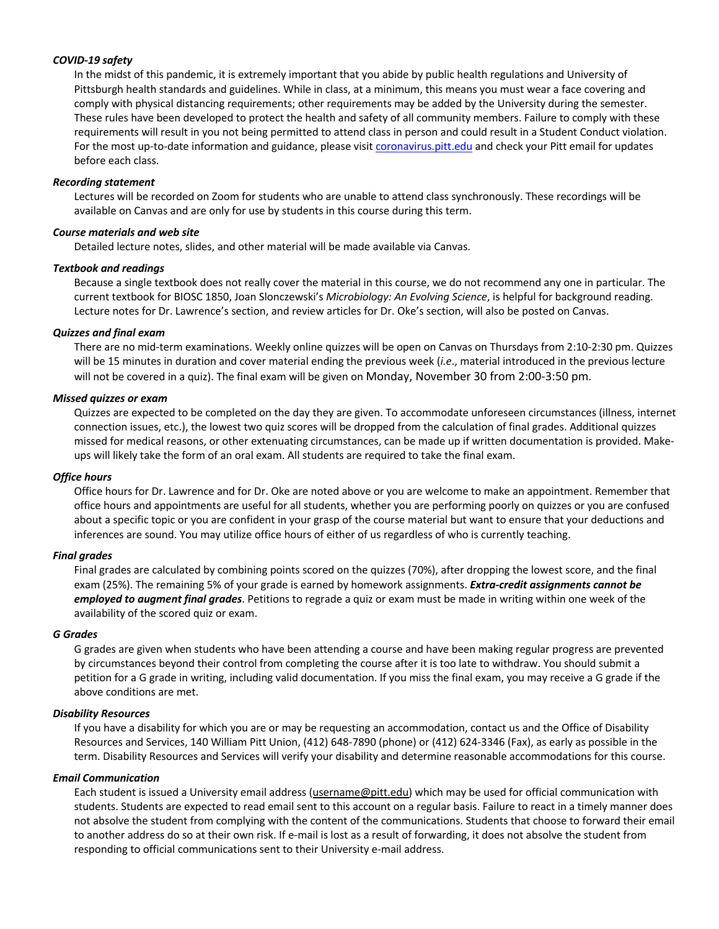### *COVID-19 safety*

In the midst of this pandemic, it is extremely important that you abide by public health regulations and University of Pittsburgh health standards and guidelines. While in class, at a minimum, this means you must wear a face covering and comply with physical distancing requirements; other requirements may be added by the University during the semester. These rules have been developed to protect the health and safety of all community members. Failure to comply with these requirements will result in you not being permitted to attend class in person and could result in a Student Conduct violation. For the most up-to-date information and guidance, please visit coronavirus.pitt.edu and check your Pitt email for updates before each class.

#### *Recording statement*

Lectures will be recorded on Zoom for students who are unable to attend class synchronously. These recordings will be available on Canvas and are only for use by students in this course during this term.

#### *Course materials and web site*

Detailed lecture notes, slides, and other material will be made available via Canvas.

#### *Textbook and readings*

Because a single textbook does not really cover the material in this course, we do not recommend any one in particular. The current textbook for BIOSC 1850, Joan Slonczewski's *Microbiology: An Evolving Science*, is helpful for background reading. Lecture notes for Dr. Lawrence's section, and review articles for Dr. Oke's section, will also be posted on Canvas.

#### *Quizzes and final exam*

There are no mid-term examinations. Weekly online quizzes will be open on Canvas on Thursdays from 2:10-2:30 pm. Quizzes will be 15 minutes in duration and cover material ending the previous week (*i.e*., material introduced in the previous lecture will not be covered in a quiz). The final exam will be given on Monday, November 30 from 2:00-3:50 pm.

#### *Missed quizzes or exam*

Quizzes are expected to be completed on the day they are given. To accommodate unforeseen circumstances (illness, internet connection issues, etc.), the lowest two quiz scores will be dropped from the calculation of final grades. Additional quizzes missed for medical reasons, or other extenuating circumstances, can be made up if written documentation is provided. Makeups will likely take the form of an oral exam. All students are required to take the final exam.

#### *Office hours*

Office hours for Dr. Lawrence and for Dr. Oke are noted above or you are welcome to make an appointment. Remember that office hours and appointments are useful for all students, whether you are performing poorly on quizzes or you are confused about a specific topic or you are confident in your grasp of the course material but want to ensure that your deductions and inferences are sound. You may utilize office hours of either of us regardless of who is currently teaching.

### *Final grades*

Final grades are calculated by combining points scored on the quizzes (70%), after dropping the lowest score, and the final exam (25%). The remaining 5% of your grade is earned by homework assignments. *Extra-credit assignments cannot be employed to augment final grades*. Petitions to regrade a quiz or exam must be made in writing within one week of the availability of the scored quiz or exam.

#### *G Grades*

G grades are given when students who have been attending a course and have been making regular progress are prevented by circumstances beyond their control from completing the course after it is too late to withdraw. You should submit a petition for a G grade in writing, including valid documentation. If you miss the final exam, you may receive a G grade if the above conditions are met.

#### *Disability Resources*

If you have a disability for which you are or may be requesting an accommodation, contact us and the Office of Disability Resources and Services, 140 William Pitt Union, (412) 648-7890 (phone) or (412) 624-3346 (Fax), as early as possible in the term. Disability Resources and Services will verify your disability and determine reasonable accommodations for this course.

#### *Email Communication*

Each student is issued a University email address (username@pitt.edu) which may be used for official communication with students. Students are expected to read email sent to this account on a regular basis. Failure to react in a timely manner does not absolve the student from complying with the content of the communications. Students that choose to forward their email to another address do so at their own risk. If e-mail is lost as a result of forwarding, it does not absolve the student from responding to official communications sent to their University e-mail address.